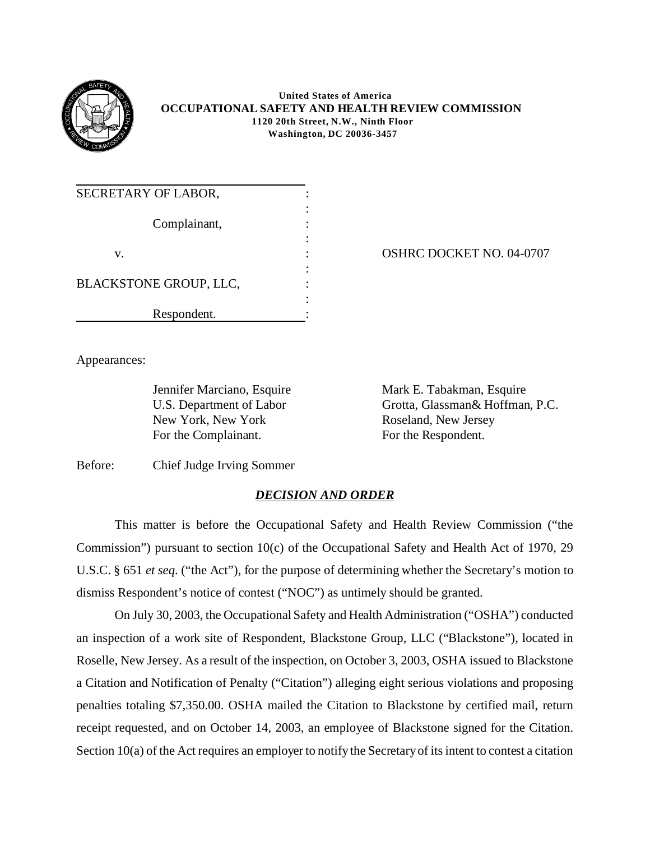

 **United States of America OCCUPATIONAL SAFETY AND HEALTH REVIEW COMMISSION 1120 20th Street, N.W., Ninth Floor Washington, DC 20036-3457** 

| SECRETARY OF LABOR,    |  |
|------------------------|--|
| Complainant,           |  |
|                        |  |
| v.                     |  |
|                        |  |
| BLACKSTONE GROUP, LLC, |  |
|                        |  |
| Respondent.            |  |

OSHRC DOCKET NO. 04-0707

Appearances:

New York, New York Roseland, New Jersey For the Complainant. For the Respondent.

Jennifer Marciano, Esquire Mark E. Tabakman, Esquire U.S. Department of Labor Grotta, Glassman& Hoffman, P.C.

Before: Chief Judge Irving Sommer

## *DECISION AND ORDER*

This matter is before the Occupational Safety and Health Review Commission ("the Commission") pursuant to section 10(c) of the Occupational Safety and Health Act of 1970, 29 U.S.C. § 651 *et seq*. ("the Act"), for the purpose of determining whether the Secretary's motion to dismiss Respondent's notice of contest ("NOC") as untimely should be granted.

On July 30, 2003, the Occupational Safety and Health Administration ("OSHA") conducted an inspection of a work site of Respondent, Blackstone Group, LLC ("Blackstone"), located in Roselle, New Jersey. As a result of the inspection, on October 3, 2003, OSHA issued to Blackstone a Citation and Notification of Penalty ("Citation") alleging eight serious violations and proposing penalties totaling \$7,350.00. OSHA mailed the Citation to Blackstone by certified mail, return receipt requested, and on October 14, 2003, an employee of Blackstone signed for the Citation. Section 10(a) of the Act requires an employer to notify the Secretary of its intent to contest a citation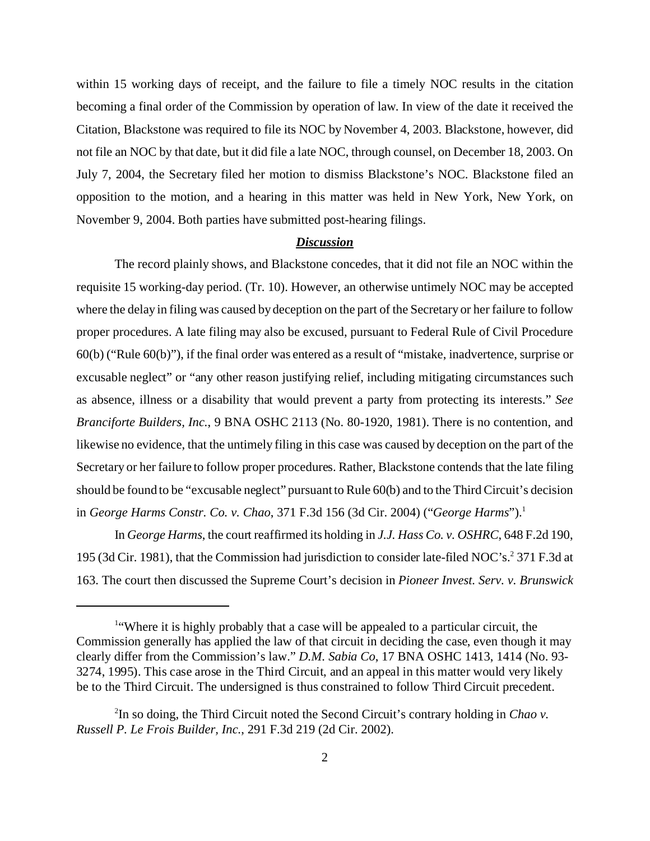within 15 working days of receipt, and the failure to file a timely NOC results in the citation becoming a final order of the Commission by operation of law. In view of the date it received the Citation, Blackstone was required to file its NOC by November 4, 2003. Blackstone, however, did not file an NOC by that date, but it did file a late NOC, through counsel, on December 18, 2003. On July 7, 2004, the Secretary filed her motion to dismiss Blackstone's NOC. Blackstone filed an opposition to the motion, and a hearing in this matter was held in New York, New York, on November 9, 2004. Both parties have submitted post-hearing filings.

## *Discussion*

The record plainly shows, and Blackstone concedes, that it did not file an NOC within the requisite 15 working-day period. (Tr. 10). However, an otherwise untimely NOC may be accepted where the delay in filing was caused by deception on the part of the Secretary or her failure to follow proper procedures. A late filing may also be excused, pursuant to Federal Rule of Civil Procedure 60(b) ("Rule 60(b)"), if the final order was entered as a result of "mistake, inadvertence, surprise or excusable neglect" or "any other reason justifying relief, including mitigating circumstances such as absence, illness or a disability that would prevent a party from protecting its interests." *See Branciforte Builders, Inc.*, 9 BNA OSHC 2113 (No. 80-1920, 1981). There is no contention, and likewise no evidence, that the untimely filing in this case was caused by deception on the part of the Secretary or her failure to follow proper procedures. Rather, Blackstone contends that the late filing should be found to be "excusable neglect" pursuant to Rule 60(b) and to the Third Circuit's decision in *George Harms Constr. Co. v. Chao*, 371 F.3d 156 (3d Cir. 2004) ("*George Harms*").1

In *George Harms*, the court reaffirmed its holding in *J.J. Hass Co. v. OSHRC*, 648 F.2d 190, 195 (3d Cir. 1981), that the Commission had jurisdiction to consider late-filed NOC's.<sup>2</sup> 371 F.3d at 163. The court then discussed the Supreme Court's decision in *Pioneer Invest. Serv. v. Brunswick* 

<sup>&</sup>lt;sup>1</sup>Where it is highly probably that a case will be appealed to a particular circuit, the Commission generally has applied the law of that circuit in deciding the case, even though it may clearly differ from the Commission's law." *D.M. Sabia Co*, 17 BNA OSHC 1413, 1414 (No. 93 3274, 1995). This case arose in the Third Circuit, and an appeal in this matter would very likely be to the Third Circuit. The undersigned is thus constrained to follow Third Circuit precedent.

<sup>2</sup> In so doing, the Third Circuit noted the Second Circuit's contrary holding in *Chao v. Russell P. Le Frois Builder, Inc.*, 291 F.3d 219 (2d Cir. 2002).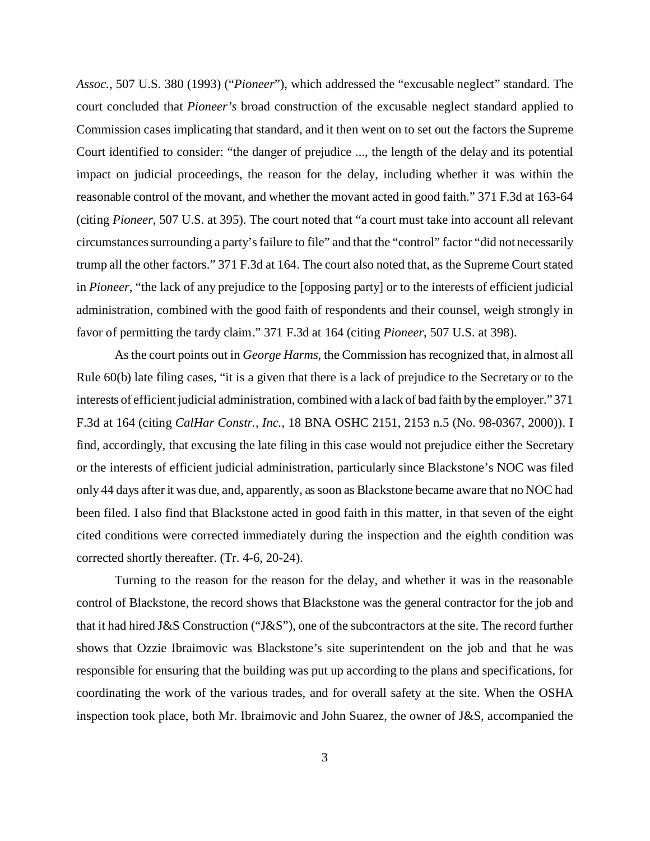*Assoc.*, 507 U.S. 380 (1993) ("*Pioneer*"), which addressed the "excusable neglect" standard. The court concluded that *Pioneer's* broad construction of the excusable neglect standard applied to Commission cases implicating that standard, and it then went on to set out the factors the Supreme Court identified to consider: "the danger of prejudice ..., the length of the delay and its potential impact on judicial proceedings, the reason for the delay, including whether it was within the reasonable control of the movant, and whether the movant acted in good faith." 371 F.3d at 163-64 (citing *Pioneer*, 507 U.S. at 395). The court noted that "a court must take into account all relevant circumstances surrounding a party's failure to file" and that the "control" factor "did not necessarily trump all the other factors." 371 F.3d at 164. The court also noted that, as the Supreme Court stated in *Pioneer*, "the lack of any prejudice to the [opposing party] or to the interests of efficient judicial administration, combined with the good faith of respondents and their counsel, weigh strongly in favor of permitting the tardy claim." 371 F.3d at 164 (citing *Pioneer*, 507 U.S. at 398).

As the court points out in *George Harms*, the Commission has recognized that, in almost all Rule 60(b) late filing cases, "it is a given that there is a lack of prejudice to the Secretary or to the interests of efficient judicial administration, combined with a lack of bad faith by the employer." 371 F.3d at 164 (citing *CalHar Constr., Inc.*, 18 BNA OSHC 2151, 2153 n.5 (No. 98-0367, 2000)). I find, accordingly, that excusing the late filing in this case would not prejudice either the Secretary or the interests of efficient judicial administration, particularly since Blackstone's NOC was filed only 44 days after it was due, and, apparently, as soon as Blackstone became aware that no NOC had been filed. I also find that Blackstone acted in good faith in this matter, in that seven of the eight cited conditions were corrected immediately during the inspection and the eighth condition was corrected shortly thereafter. (Tr. 4-6, 20-24).

Turning to the reason for the reason for the delay, and whether it was in the reasonable control of Blackstone, the record shows that Blackstone was the general contractor for the job and that it had hired J&S Construction ("J&S"), one of the subcontractors at the site. The record further shows that Ozzie Ibraimovic was Blackstone's site superintendent on the job and that he was responsible for ensuring that the building was put up according to the plans and specifications, for coordinating the work of the various trades, and for overall safety at the site. When the OSHA inspection took place, both Mr. Ibraimovic and John Suarez, the owner of J&S, accompanied the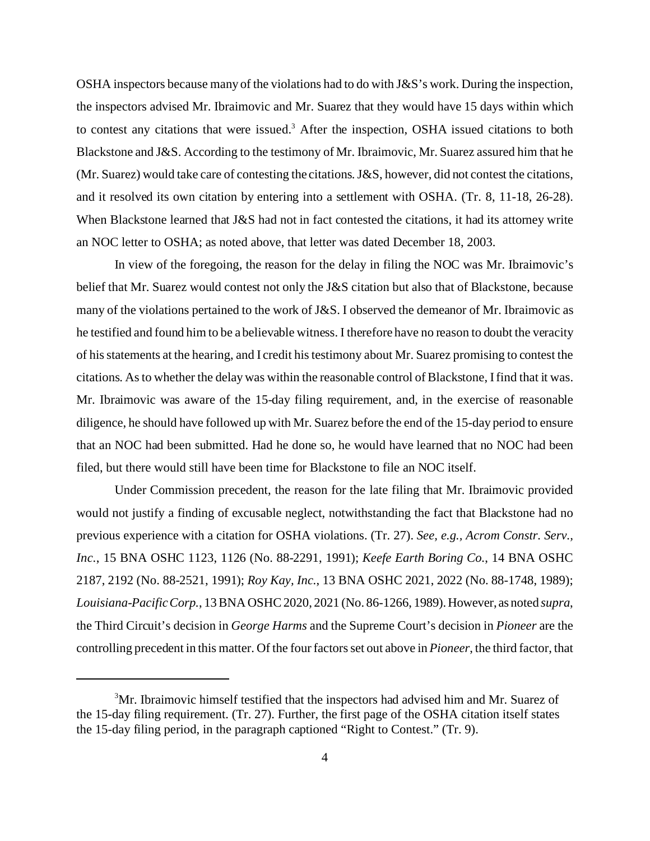OSHA inspectors because many of the violations had to do with J&S's work. During the inspection, the inspectors advised Mr. Ibraimovic and Mr. Suarez that they would have 15 days within which to contest any citations that were issued. 3 After the inspection, OSHA issued citations to both Blackstone and J&S. According to the testimony of Mr. Ibraimovic, Mr. Suarez assured him that he (Mr. Suarez) would take care of contesting the citations. J&S, however, did not contest the citations, and it resolved its own citation by entering into a settlement with OSHA. (Tr. 8, 11-18, 26-28). When Blackstone learned that J&S had not in fact contested the citations, it had its attorney write an NOC letter to OSHA; as noted above, that letter was dated December 18, 2003.

In view of the foregoing, the reason for the delay in filing the NOC was Mr. Ibraimovic's belief that Mr. Suarez would contest not only the J&S citation but also that of Blackstone, because many of the violations pertained to the work of J&S. I observed the demeanor of Mr. Ibraimovic as he testified and found him to be a believable witness. I therefore have no reason to doubt the veracity of his statements at the hearing, and I credit his testimony about Mr. Suarez promising to contest the citations. As to whether the delay was within the reasonable control of Blackstone, I find that it was. Mr. Ibraimovic was aware of the 15-day filing requirement, and, in the exercise of reasonable diligence, he should have followed up with Mr. Suarez before the end of the 15-day period to ensure that an NOC had been submitted. Had he done so, he would have learned that no NOC had been filed, but there would still have been time for Blackstone to file an NOC itself.

Under Commission precedent, the reason for the late filing that Mr. Ibraimovic provided would not justify a finding of excusable neglect, notwithstanding the fact that Blackstone had no previous experience with a citation for OSHA violations. (Tr. 27). *See, e.g., Acrom Constr. Serv., Inc.*, 15 BNA OSHC 1123, 1126 (No. 88-2291, 1991); *Keefe Earth Boring Co.*, 14 BNA OSHC 2187, 2192 (No. 88-2521, 1991); *Roy Kay, Inc.*, 13 BNA OSHC 2021, 2022 (No. 88-1748, 1989); *Louisiana-Pacific Corp.*, 13 BNA OSHC 2020, 2021 (No. 86-1266, 1989). However, as noted *supra*, the Third Circuit's decision in *George Harms* and the Supreme Court's decision in *Pioneer* are the controlling precedent in this matter. Of the four factors set out above in *Pioneer*, the third factor, that

<sup>&</sup>lt;sup>3</sup>Mr. Ibraimovic himself testified that the inspectors had advised him and Mr. Suarez of the 15-day filing requirement. (Tr. 27). Further, the first page of the OSHA citation itself states the 15-day filing period, in the paragraph captioned "Right to Contest." (Tr. 9).